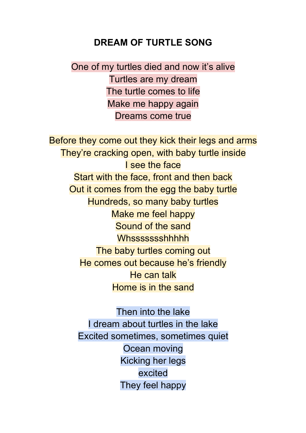## **DREAM OF TURTLE SONG**

One of my turtles died and now it's alive Turtles are my dream The turtle comes to life Make me happy again Dreams come true

Before they come out they kick their legs and arms They're cracking open, with baby turtle inside I see the face Start with the face, front and then back Out it comes from the egg the baby turtle Hundreds, so many baby turtles Make me feel happy Sound of the sand **Whssssssshhhhh** The baby turtles coming out He comes out because he's friendly He can talk Home is in the sand

> Then into the lake I dream about turtles in the lake Excited sometimes, sometimes quiet Ocean moving Kicking her legs excited They feel happy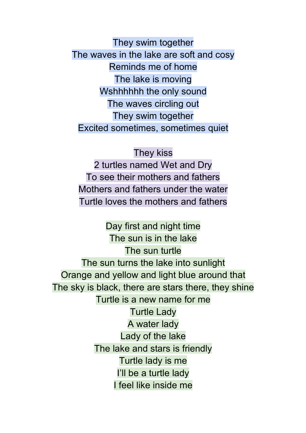They swim together The waves in the lake are soft and cosy Reminds me of home The lake is moving Wshhhhhh the only sound The waves circling out They swim together Excited sometimes, sometimes quiet

## They kiss

2 turtles named Wet and Dry To see their mothers and fathers Mothers and fathers under the water Turtle loves the mothers and fathers

Day first and night time The sun is in the lake The sun turtle The sun turns the lake into sunlight Orange and yellow and light blue around that The sky is black, there are stars there, they shine Turtle is a new name for me Turtle Lady A water lady Lady of the lake The lake and stars is friendly Turtle lady is me I'll be a turtle lady I feel like inside me